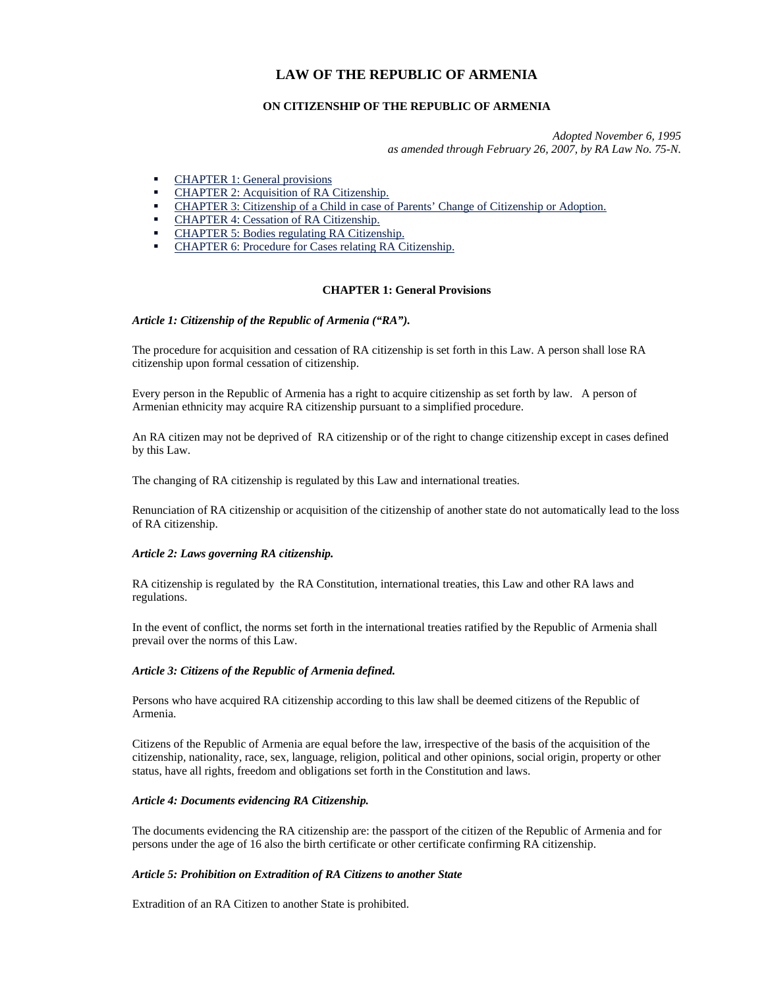# **LAW OF THE REPUBLIC OF ARMENIA**

## **ON CITIZENSHIP OF THE REPUBLIC OF ARMENIA**

*Adopted November 6, 1995 as amended through February 26, 2007, by RA Law No. 75-N.*

- **CHAPTER 1: General provisions**
- CHAPTER 2: Acquisition of RA Citizenship.
- CHAPTER 3: Citizenship of a Child in case of Parents' Change of Citizenship or Adoption.
- CHAPTER 4: Cessation of RA Citizenship.
- CHAPTER 5: Bodies regulating RA Citizenship.
- CHAPTER 6: Procedure for Cases relating RA Citizenship.

## **CHAPTER 1: General Provisions**

#### *Article 1: Citizenship of the Republic of Armenia ("RA").*

The procedure for acquisition and cessation of RA citizenship is set forth in this Law. A person shall lose RA citizenship upon formal cessation of citizenship.

Every person in the Republic of Armenia has a right to acquire citizenship as set forth by law. A person of Armenian ethnicity may acquire RA citizenship pursuant to a simplified procedure.

An RA citizen may not be deprived of RA citizenship or of the right to change citizenship except in cases defined by this Law.

The changing of RA citizenship is regulated by this Law and international treaties.

Renunciation of RA citizenship or acquisition of the citizenship of another state do not automatically lead to the loss of RA citizenship.

## *Article 2: Laws governing RA citizenship.*

RA citizenship is regulated by the RA Constitution, international treaties, this Law and other RA laws and regulations.

In the event of conflict, the norms set forth in the international treaties ratified by the Republic of Armenia shall prevail over the norms of this Law.

## *Article 3: Citizens of the Republic of Armenia defined.*

Persons who have acquired RA citizenship according to this law shall be deemed citizens of the Republic of Armenia.

Citizens of the Republic of Armenia are equal before the law, irrespective of the basis of the acquisition of the citizenship, nationality, race, sex, language, religion, political and other opinions, social origin, property or other status, have all rights, freedom and obligations set forth in the Constitution and laws.

## *Article 4: Documents evidencing RA Citizenship.*

The documents evidencing the RA citizenship are: the passport of the citizen of the Republic of Armenia and for persons under the age of 16 also the birth certificate or other certificate confirming RA citizenship.

#### *Article 5: Prohibition on Extradition of RA Citizens to another State*

Extradition of an RA Citizen to another State is prohibited.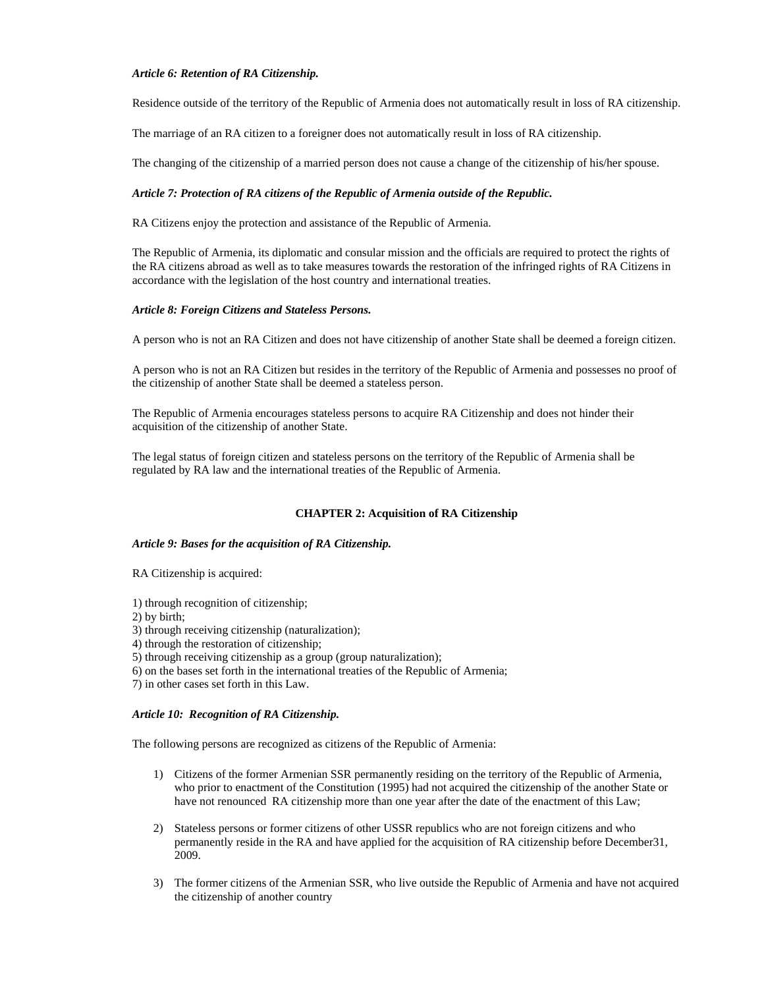## *Article 6: Retention of RA Citizenship.*

Residence outside of the territory of the Republic of Armenia does not automatically result in loss of RA citizenship.

The marriage of an RA citizen to a foreigner does not automatically result in loss of RA citizenship.

The changing of the citizenship of a married person does not cause a change of the citizenship of his/her spouse.

## *Article 7: Protection of RA citizens of the Republic of Armenia outside of the Republic.*

RA Citizens enjoy the protection and assistance of the Republic of Armenia.

The Republic of Armenia, its diplomatic and consular mission and the officials are required to protect the rights of the RA citizens abroad as well as to take measures towards the restoration of the infringed rights of RA Citizens in accordance with the legislation of the host country and international treaties.

## *Article 8: Foreign Citizens and Stateless Persons.*

A person who is not an RA Citizen and does not have citizenship of another State shall be deemed a foreign citizen.

A person who is not an RA Citizen but resides in the territory of the Republic of Armenia and possesses no proof of the citizenship of another State shall be deemed a stateless person.

The Republic of Armenia encourages stateless persons to acquire RA Citizenship and does not hinder their acquisition of the citizenship of another State.

The legal status of foreign citizen and stateless persons on the territory of the Republic of Armenia shall be regulated by RA law and the international treaties of the Republic of Armenia.

## **CHAPTER 2: Acquisition of RA Citizenship**

## *Article 9: Bases for the acquisition of RA Citizenship.*

RA Citizenship is acquired:

1) through recognition of citizenship;

2) by birth;

3) through receiving citizenship (naturalization);

4) through the restoration of citizenship;

5) through receiving citizenship as a group (group naturalization);

6) on the bases set forth in the international treaties of the Republic of Armenia;

7) in other cases set forth in this Law.

## *Article 10: Recognition of RA Citizenship.*

The following persons are recognized as citizens of the Republic of Armenia:

- 1) Citizens of the former Armenian SSR permanently residing on the territory of the Republic of Armenia, who prior to enactment of the Constitution (1995) had not acquired the citizenship of the another State or have not renounced RA citizenship more than one year after the date of the enactment of this Law;
- 2) Stateless persons or former citizens of other USSR republics who are not foreign citizens and who permanently reside in the RA and have applied for the acquisition of RA citizenship before December31, 2009.
- 3) The former citizens of the Armenian SSR, who live outside the Republic of Armenia and have not acquired the citizenship of another country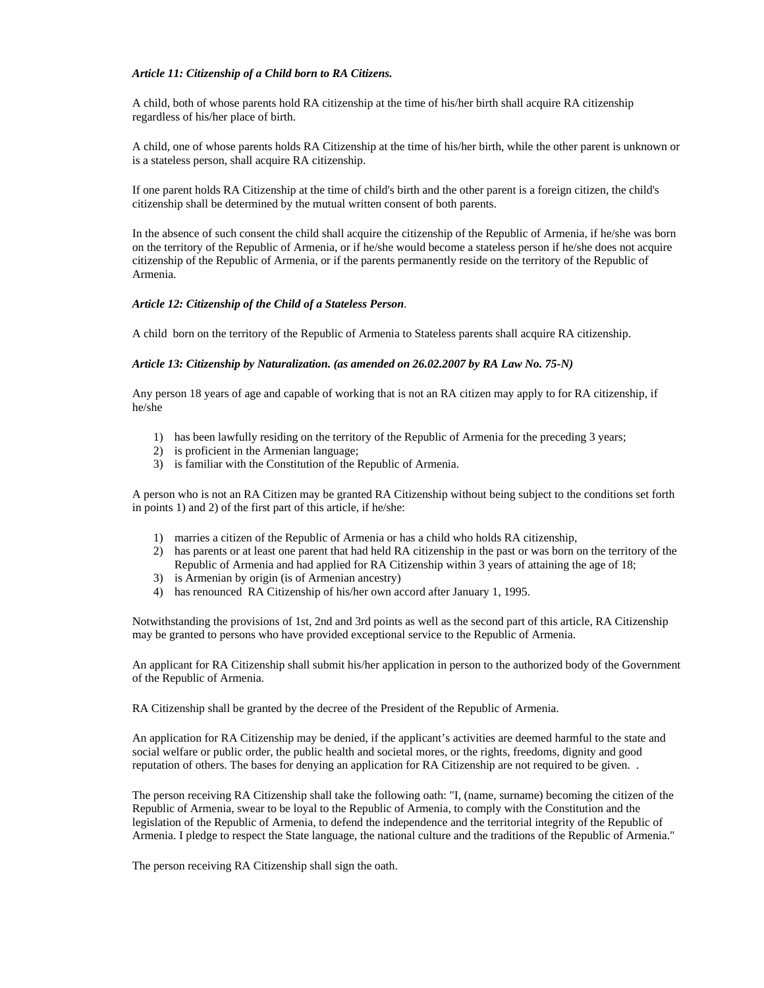#### *Article 11: Citizenship of a Child born to RA Citizens.*

A child, both of whose parents hold RA citizenship at the time of his/her birth shall acquire RA citizenship regardless of his/her place of birth.

A child, one of whose parents holds RA Citizenship at the time of his/her birth, while the other parent is unknown or is a stateless person, shall acquire RA citizenship.

If one parent holds RA Citizenship at the time of child's birth and the other parent is a foreign citizen, the child's citizenship shall be determined by the mutual written consent of both parents.

In the absence of such consent the child shall acquire the citizenship of the Republic of Armenia, if he/she was born on the territory of the Republic of Armenia, or if he/she would become a stateless person if he/she does not acquire citizenship of the Republic of Armenia, or if the parents permanently reside on the territory of the Republic of Armenia.

#### *Article 12: Citizenship of the Child of a Stateless Person*.

A child born on the territory of the Republic of Armenia to Stateless parents shall acquire RA citizenship.

#### *Article 13: Citizenship by Naturalization. (as amended on 26.02.2007 by RA Law No. 75-N)*

Any person 18 years of age and capable of working that is not an RA citizen may apply to for RA citizenship, if he/she

- 1) has been lawfully residing on the territory of the Republic of Armenia for the preceding 3 years;
- 2) is proficient in the Armenian language;
- 3) is familiar with the Constitution of the Republic of Armenia.

A person who is not an RA Citizen may be granted RA Citizenship without being subject to the conditions set forth in points 1) and 2) of the first part of this article, if he/she:

- 1) marries a citizen of the Republic of Armenia or has a child who holds RA citizenship,
- 2) has parents or at least one parent that had held RA citizenship in the past or was born on the territory of the Republic of Armenia and had applied for RA Citizenship within 3 years of attaining the age of 18;
- 3) is Armenian by origin (is of Armenian ancestry)
- 4) has renounced RA Citizenship of his/her own accord after January 1, 1995.

Notwithstanding the provisions of 1st, 2nd and 3rd points as well as the second part of this article, RA Citizenship may be granted to persons who have provided exceptional service to the Republic of Armenia.

An applicant for RA Citizenship shall submit his/her application in person to the authorized body of the Government of the Republic of Armenia.

RA Citizenship shall be granted by the decree of the President of the Republic of Armenia.

An application for RA Citizenship may be denied, if the applicant's activities are deemed harmful to the state and social welfare or public order, the public health and societal mores, or the rights, freedoms, dignity and good reputation of others. The bases for denying an application for RA Citizenship are not required to be given. .

The person receiving RA Citizenship shall take the following oath: "I, (name, surname) becoming the citizen of the Republic of Armenia, swear to be loyal to the Republic of Armenia, to comply with the Constitution and the legislation of the Republic of Armenia, to defend the independence and the territorial integrity of the Republic of Armenia. I pledge to respect the State language, the national culture and the traditions of the Republic of Armenia."

The person receiving RA Citizenship shall sign the oath.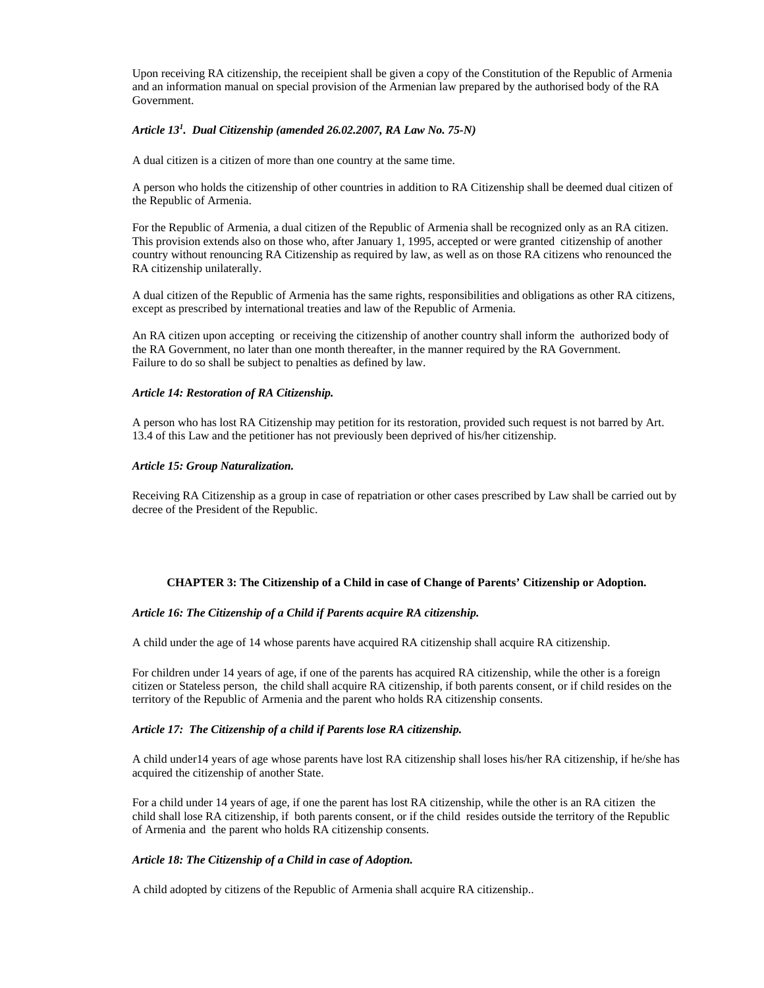Upon receiving RA citizenship, the receipient shall be given a copy of the Constitution of the Republic of Armenia and an information manual on special provision of the Armenian law prepared by the authorised body of the RA Government.

## *Article 13<sup>1</sup> . Dual Citizenship (amended 26.02.2007, RA Law No. 75-N)*

A dual citizen is a citizen of more than one country at the same time.

A person who holds the citizenship of other countries in addition to RA Citizenship shall be deemed dual citizen of the Republic of Armenia.

For the Republic of Armenia, a dual citizen of the Republic of Armenia shall be recognized only as an RA citizen. This provision extends also on those who, after January 1, 1995, accepted or were granted citizenship of another country without renouncing RA Citizenship as required by law, as well as on those RA citizens who renounced the RA citizenship unilaterally.

A dual citizen of the Republic of Armenia has the same rights, responsibilities and obligations as other RA citizens, except as prescribed by international treaties and law of the Republic of Armenia.

An RA citizen upon accepting or receiving the citizenship of another country shall inform the authorized body of the RA Government, no later than one month thereafter, in the manner required by the RA Government. Failure to do so shall be subject to penalties as defined by law.

#### *Article 14: Restoration of RA Citizenship.*

A person who has lost RA Citizenship may petition for its restoration, provided such request is not barred by Art. 13.4 of this Law and the petitioner has not previously been deprived of his/her citizenship.

#### *Article 15: Group Naturalization.*

Receiving RA Citizenship as a group in case of repatriation or other cases prescribed by Law shall be carried out by decree of the President of the Republic.

## **CHAPTER 3: The Citizenship of a Child in case of Change of Parents' Citizenship or Adoption.**

## *Article 16: The Citizenship of a Child if Parents acquire RA citizenship.*

A child under the age of 14 whose parents have acquired RA citizenship shall acquire RA citizenship.

For children under 14 years of age, if one of the parents has acquired RA citizenship, while the other is a foreign citizen or Stateless person, the child shall acquire RA citizenship, if both parents consent, or if child resides on the territory of the Republic of Armenia and the parent who holds RA citizenship consents.

## *Article 17: The Citizenship of a child if Parents lose RA citizenship.*

A child under14 years of age whose parents have lost RA citizenship shall loses his/her RA citizenship, if he/she has acquired the citizenship of another State.

For a child under 14 years of age, if one the parent has lost RA citizenship, while the other is an RA citizen the child shall lose RA citizenship, if both parents consent, or if the child resides outside the territory of the Republic of Armenia and the parent who holds RA citizenship consents.

## *Article 18: The Citizenship of a Child in case of Adoption.*

A child adopted by citizens of the Republic of Armenia shall acquire RA citizenship..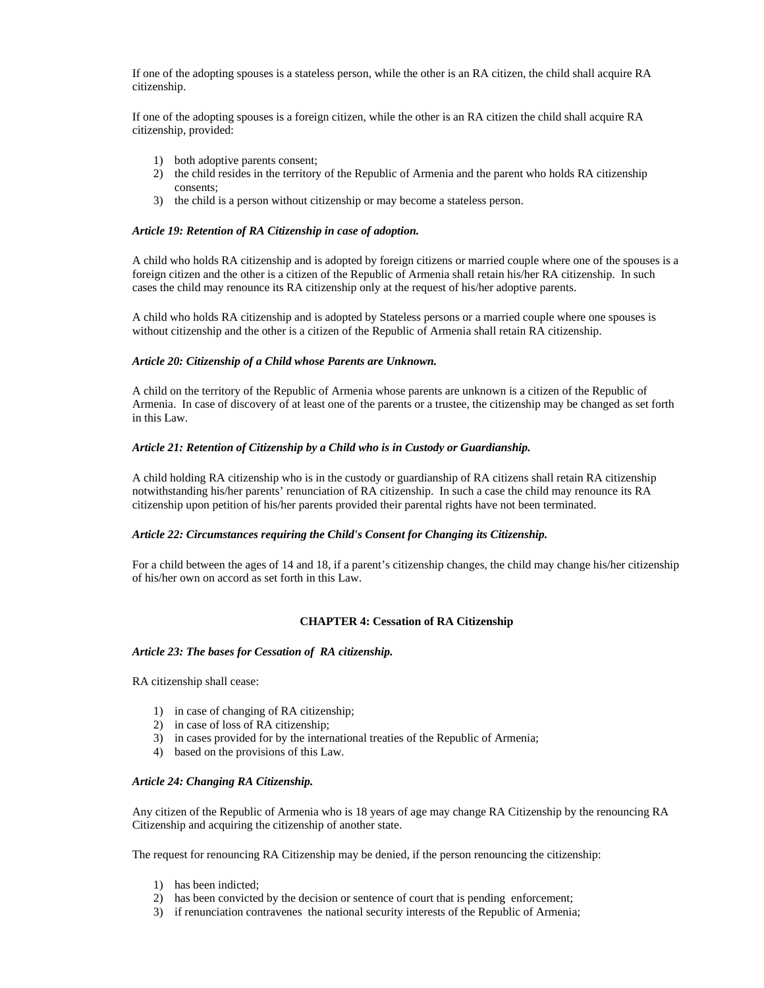If one of the adopting spouses is a stateless person, while the other is an RA citizen, the child shall acquire RA citizenship.

If one of the adopting spouses is a foreign citizen, while the other is an RA citizen the child shall acquire RA citizenship, provided:

- 1) both adoptive parents consent;
- 2) the child resides in the territory of the Republic of Armenia and the parent who holds RA citizenship consents;
- 3) the child is a person without citizenship or may become a stateless person.

#### *Article 19: Retention of RA Citizenship in case of adoption.*

A child who holds RA citizenship and is adopted by foreign citizens or married couple where one of the spouses is a foreign citizen and the other is a citizen of the Republic of Armenia shall retain his/her RA citizenship. In such cases the child may renounce its RA citizenship only at the request of his/her adoptive parents.

A child who holds RA citizenship and is adopted by Stateless persons or a married couple where one spouses is without citizenship and the other is a citizen of the Republic of Armenia shall retain RA citizenship.

#### *Article 20: Citizenship of a Child whose Parents are Unknown.*

A child on the territory of the Republic of Armenia whose parents are unknown is a citizen of the Republic of Armenia. In case of discovery of at least one of the parents or a trustee, the citizenship may be changed as set forth in this Law.

#### *Article 21: Retention of Citizenship by a Child who is in Custody or Guardianship.*

A child holding RA citizenship who is in the custody or guardianship of RA citizens shall retain RA citizenship notwithstanding his/her parents' renunciation of RA citizenship. In such a case the child may renounce its RA citizenship upon petition of his/her parents provided their parental rights have not been terminated.

#### *Article 22: Circumstances requiring the Child's Consent for Changing its Citizenship.*

For a child between the ages of 14 and 18, if a parent's citizenship changes, the child may change his/her citizenship of his/her own on accord as set forth in this Law.

## **CHAPTER 4: Cessation of RA Citizenship**

#### *Article 23: The bases for Cessation of RA citizenship.*

RA citizenship shall cease:

- 1) in case of changing of RA citizenship;
- 2) in case of loss of RA citizenship;
- 3) in cases provided for by the international treaties of the Republic of Armenia;
- 4) based on the provisions of this Law.

#### *Article 24: Changing RA Citizenship.*

Any citizen of the Republic of Armenia who is 18 years of age may change RA Citizenship by the renouncing RA Citizenship and acquiring the citizenship of another state.

The request for renouncing RA Citizenship may be denied, if the person renouncing the citizenship:

- 1) has been indicted;
- 2) has been convicted by the decision or sentence of court that is pending enforcement;
- 3) if renunciation contravenes the national security interests of the Republic of Armenia;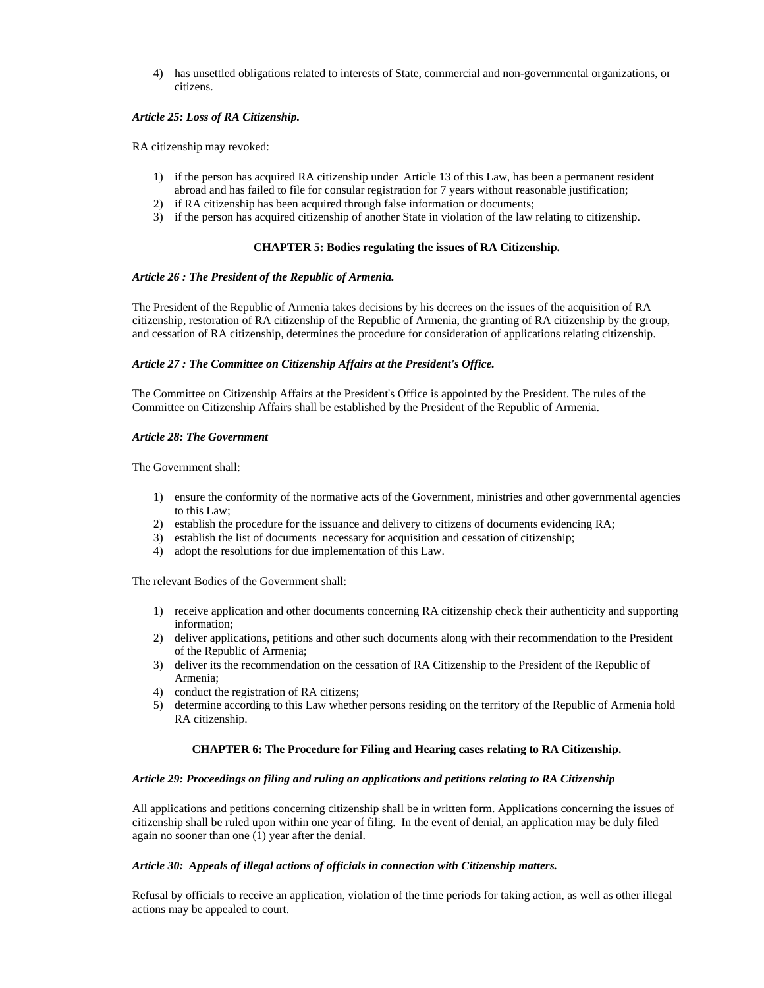4) has unsettled obligations related to interests of State, commercial and non-governmental organizations, or citizens.

## *Article 25: Loss of RA Citizenship.*

RA citizenship may revoked:

- 1) if the person has acquired RA citizenship under Article 13 of this Law, has been a permanent resident abroad and has failed to file for consular registration for 7 years without reasonable justification;
- 2) if RA citizenship has been acquired through false information or documents;
- 3) if the person has acquired citizenship of another State in violation of the law relating to citizenship.

#### **CHAPTER 5: Bodies regulating the issues of RA Citizenship.**

#### *Article 26 : The President of the Republic of Armenia.*

The President of the Republic of Armenia takes decisions by his decrees on the issues of the acquisition of RA citizenship, restoration of RA citizenship of the Republic of Armenia, the granting of RA citizenship by the group, and cessation of RA citizenship, determines the procedure for consideration of applications relating citizenship.

## *Article 27 : The Committee on Citizenship Affairs at the President's Office.*

The Committee on Citizenship Affairs at the President's Office is appointed by the President. The rules of the Committee on Citizenship Affairs shall be established by the President of the Republic of Armenia.

#### *Article 28: The Government*

The Government shall:

- 1) ensure the conformity of the normative acts of the Government, ministries and other governmental agencies to this Law;
- 2) establish the procedure for the issuance and delivery to citizens of documents evidencing RA;
- 3) establish the list of documents necessary for acquisition and cessation of citizenship;
- 4) adopt the resolutions for due implementation of this Law.

The relevant Bodies of the Government shall:

- 1) receive application and other documents concerning RA citizenship check their authenticity and supporting information;
- 2) deliver applications, petitions and other such documents along with their recommendation to the President of the Republic of Armenia;
- 3) deliver its the recommendation on the cessation of RA Citizenship to the President of the Republic of Armenia;
- 4) conduct the registration of RA citizens;
- 5) determine according to this Law whether persons residing on the territory of the Republic of Armenia hold RA citizenship.

## **CHAPTER 6: The Procedure for Filing and Hearing cases relating to RA Citizenship.**

#### *Article 29: Proceedings on filing and ruling on applications and petitions relating to RA Citizenship*

All applications and petitions concerning citizenship shall be in written form. Applications concerning the issues of citizenship shall be ruled upon within one year of filing. In the event of denial, an application may be duly filed again no sooner than one (1) year after the denial.

#### *Article 30: Appeals of illegal actions of officials in connection with Citizenship matters.*

Refusal by officials to receive an application, violation of the time periods for taking action, as well as other illegal actions may be appealed to court.